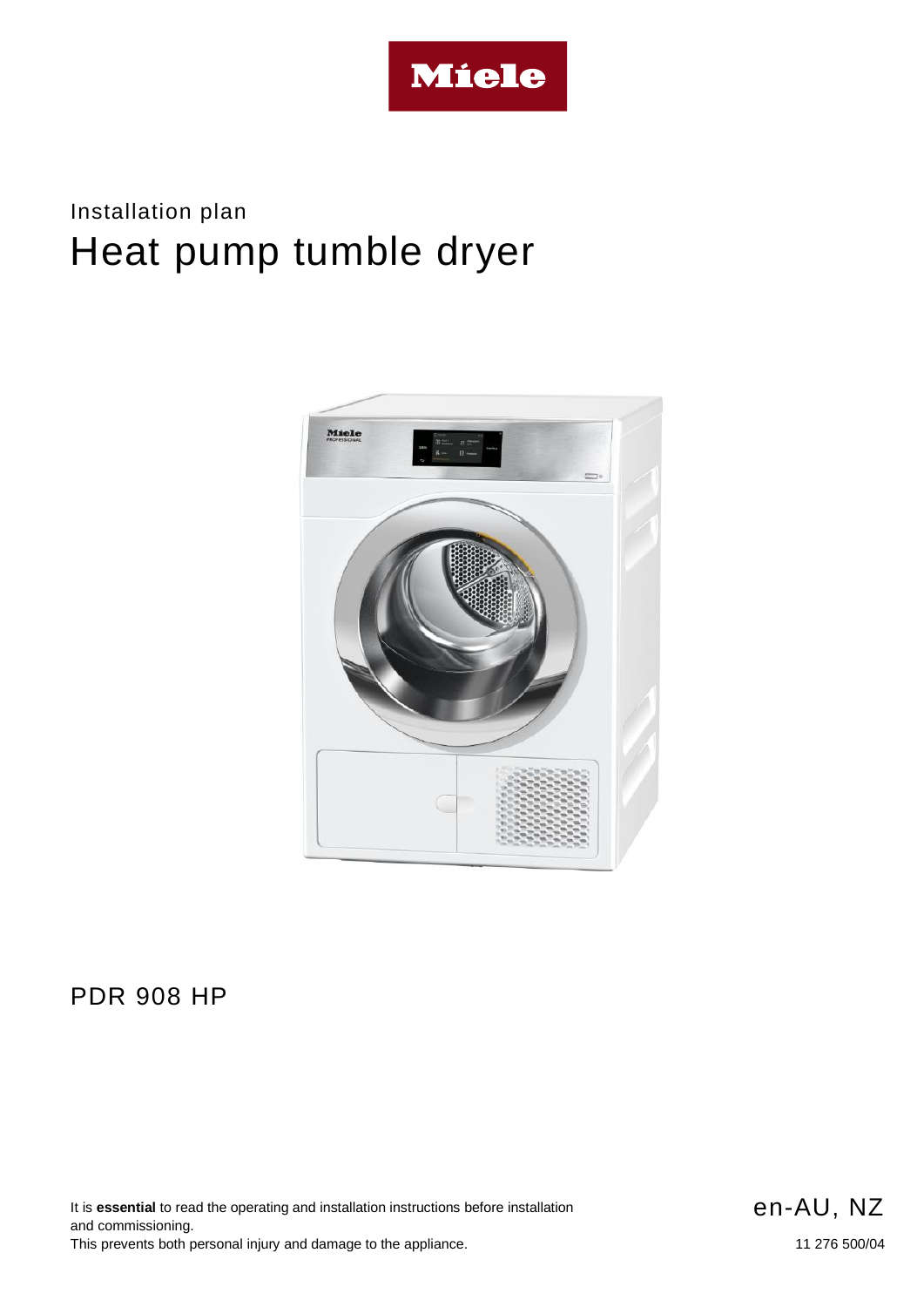

# Installation plan Heat pump tumble dryer



### PDR 908 HP

It is **essential** to read the operating and installation instructions before installation and commissioning. This prevents both personal injury and damage to the appliance.

en-AU, NZ

11 276 500/04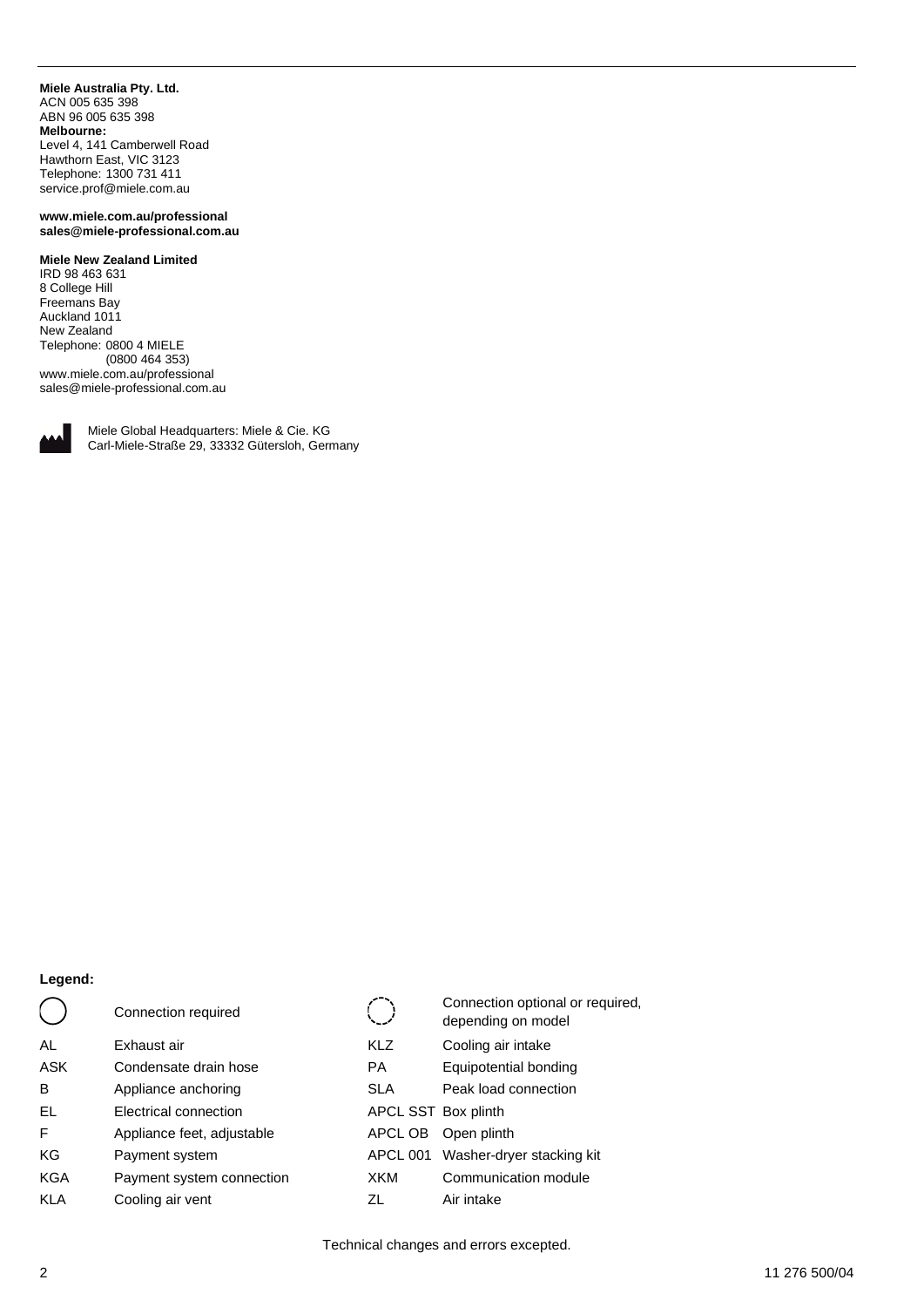#### **Miele Australia Pty. Ltd.** ACN 005 635 398 ABN 96 005 635 398 **Melbourne:**

Level 4, 141 Camberwell Road Hawthorn East, VIC 3123 Telephone: 1300 731 411 service.prof@miele.com.au

#### **www.miele.com.au/professional sales@miele-professional.com.au**

### **Miele New Zealand Limited**

IRD 98 463 631 8 College Hill Freemans Bay Auckland 1011 New Zealand Telephone: 0800 4 MIELE (0800 464 353) www.miele.com.au/professional sales@miele-professional.com.au



Miele Global Headquarters: Miele & Cie. KG Carl-Miele-Straße 29, 33332 Gütersloh, Germany

### **Legend:**

|            | Connection required        |                     | Connection optional or required,<br>depending on model |
|------------|----------------------------|---------------------|--------------------------------------------------------|
| AL         | Exhaust air                | <b>KLZ</b>          | Cooling air intake                                     |
| <b>ASK</b> | Condensate drain hose      | РA                  | Equipotential bonding                                  |
| B          | Appliance anchoring        | <b>SLA</b>          | Peak load connection                                   |
| EL         | Electrical connection      | APCL SST Box plinth |                                                        |
| F          | Appliance feet, adjustable | APCL OB             | Open plinth                                            |
| KG         | Payment system             | APCL 001            | Washer-dryer stacking kit                              |
| <b>KGA</b> | Payment system connection  | XKM                 | Communication module                                   |
| <b>KLA</b> | Cooling air vent           | ΖL                  | Air intake                                             |

Technical changes and errors excepted.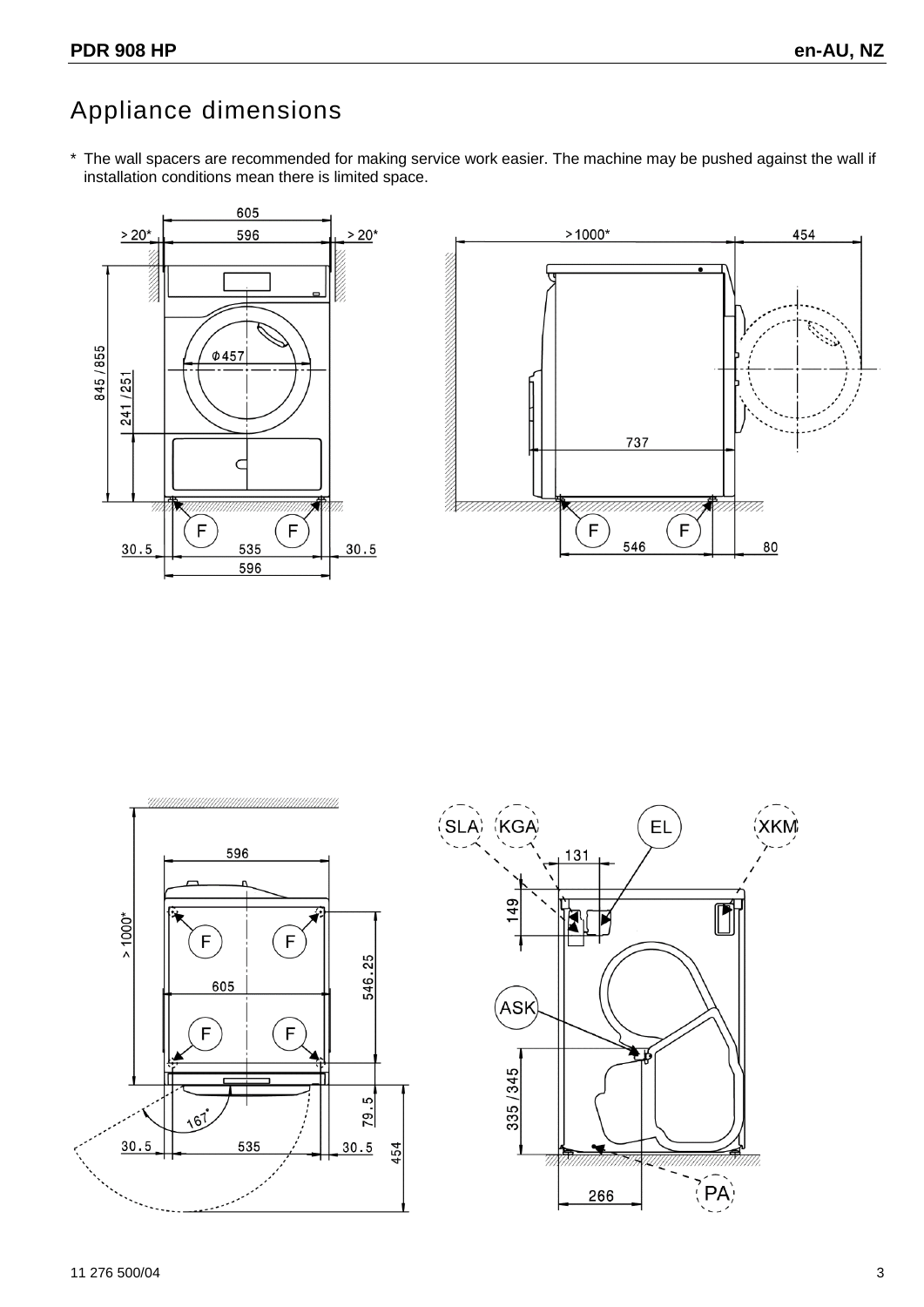# Appliance dimensions





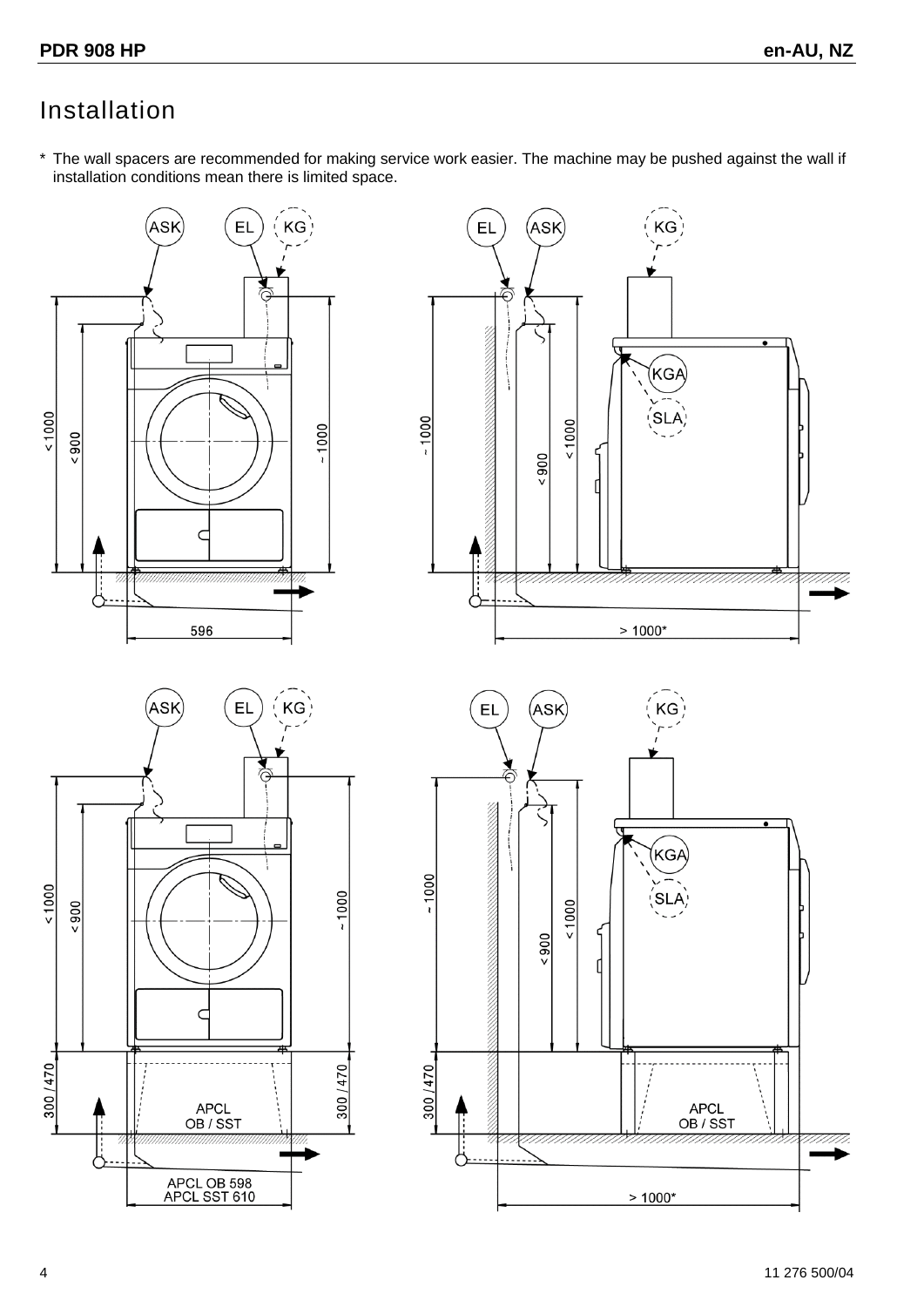## Installation

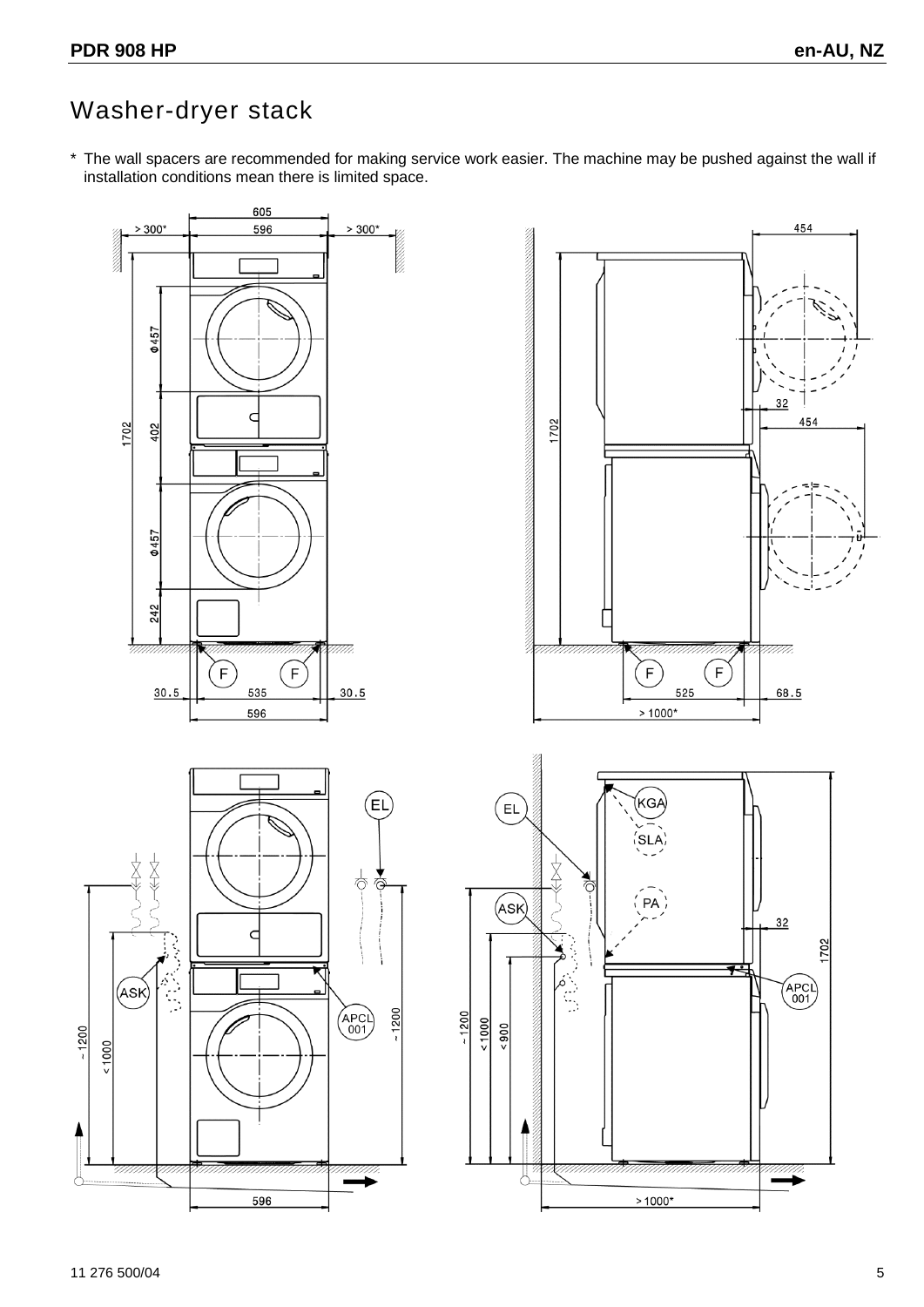## Washer-dryer stack

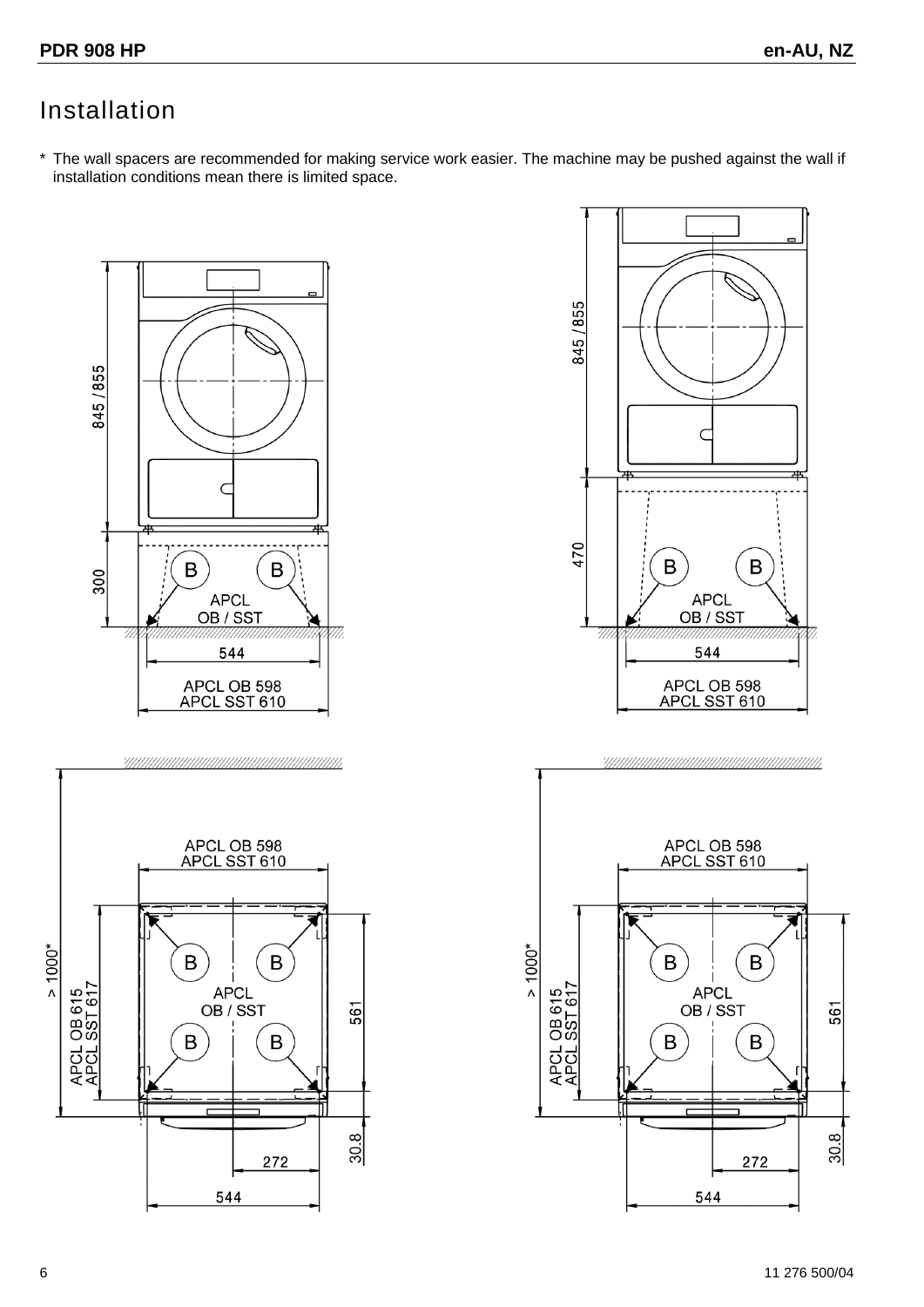## Installation



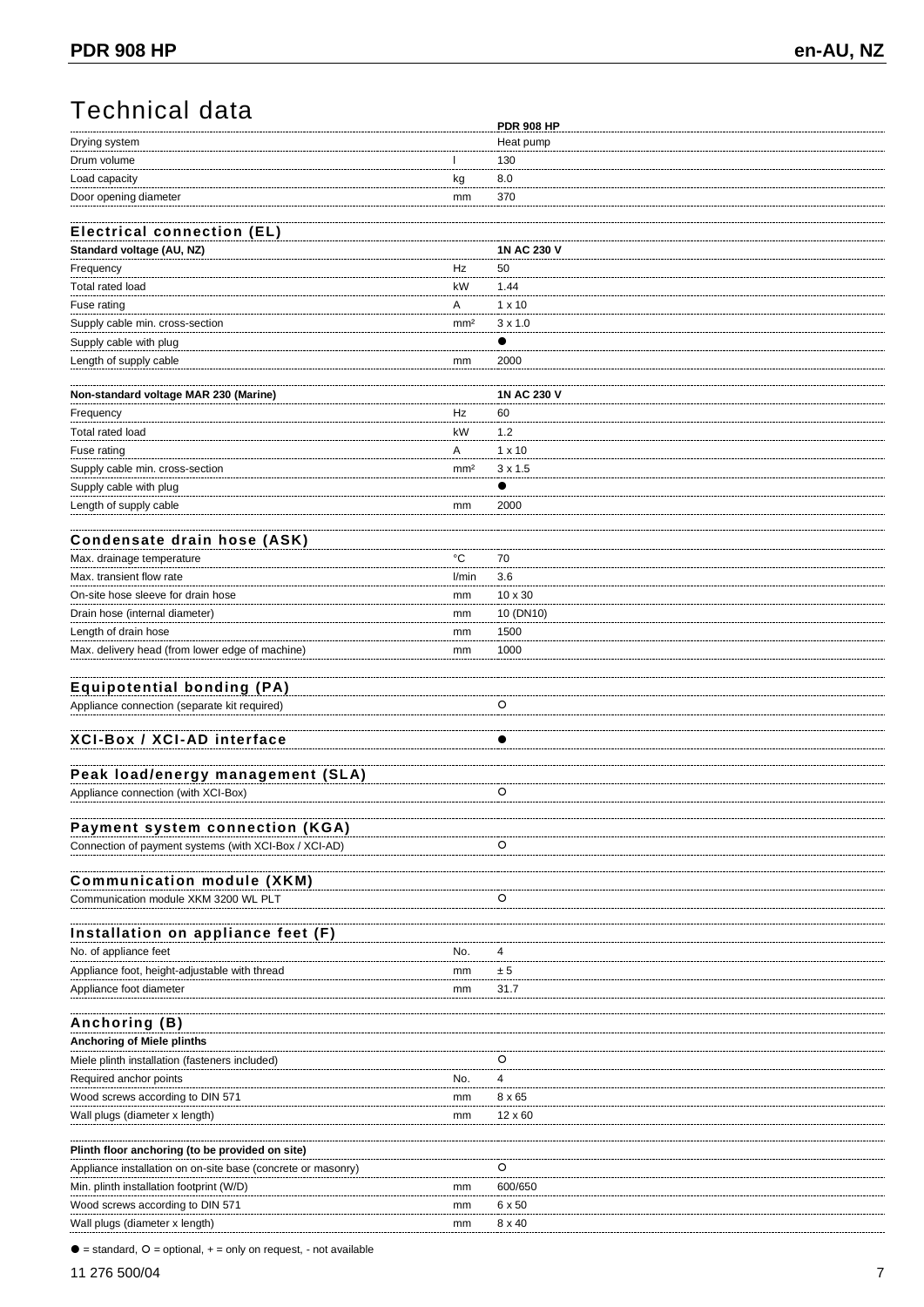## Technical data

|                                                              |                 | <b>PDR 908 HP</b> |
|--------------------------------------------------------------|-----------------|-------------------|
| Drying system                                                |                 | Heat pump         |
| Drum volume                                                  |                 | 130               |
| Load capacity                                                | kg              | 8.0               |
| Door opening diameter                                        | mm              | 370               |
|                                                              |                 |                   |
| <b>Electrical connection (EL)</b>                            |                 |                   |
| Standard voltage (AU, NZ)                                    |                 | 1N AC 230 V       |
| Frequency                                                    | Hz              | 50                |
| Total rated load                                             | kW              | 1.44              |
|                                                              |                 |                   |
| Fuse rating                                                  | Α               | $1 \times 10$     |
| Supply cable min. cross-section                              | mm <sup>2</sup> | $3 \times 1.0$    |
| Supply cable with plug                                       |                 | $\bullet$         |
| Length of supply cable                                       | mm              | 2000              |
|                                                              |                 |                   |
| Non-standard voltage MAR 230 (Marine)                        |                 | 1N AC 230 V       |
| Frequency                                                    | Hz              | 60                |
| Total rated load                                             | kW              | 1.2               |
| Fuse rating                                                  | Α               | $1 \times 10$     |
| Supply cable min. cross-section                              | mm <sup>2</sup> | $3 \times 1.5$    |
| Supply cable with plug                                       |                 | ●                 |
| Length of supply cable                                       | mm              | 2000              |
|                                                              |                 |                   |
| Condensate drain hose (ASK)                                  |                 |                   |
| Max. drainage temperature                                    | °C              | 70                |
| Max. transient flow rate                                     | l/min           | 3.6               |
|                                                              |                 |                   |
| On-site hose sleeve for drain hose                           | mm              | 10 x 30           |
| Drain hose (internal diameter)                               | mm              | 10 (DN10)         |
| Length of drain hose                                         | mm              | 1500              |
| Max. delivery head (from lower edge of machine)              | mm              | 1000              |
|                                                              |                 |                   |
| <b>Equipotential bonding (PA)</b>                            |                 |                   |
| Appliance connection (separate kit required)                 |                 | O                 |
|                                                              |                 |                   |
| XCI-Box / XCI-AD interface                                   |                 |                   |
|                                                              |                 |                   |
| Peak load/energy management (SLA)                            |                 |                   |
| Appliance connection (with XCI-Box)                          |                 | O                 |
|                                                              |                 |                   |
| Payment system connection (KGA)                              |                 |                   |
| Connection of payment systems (with XCI-Box / XCI-AD)        |                 | O                 |
|                                                              |                 |                   |
| <b>Communication module (XKM)</b>                            |                 |                   |
| Communication module XKM 3200 WL PLT                         |                 | O                 |
|                                                              |                 |                   |
| Installation on appliance feet (F)                           |                 |                   |
| No. of appliance feet                                        | No.             | 4                 |
|                                                              |                 |                   |
| Appliance foot, height-adjustable with thread                | mm              | ± 5               |
| Appliance foot diameter                                      | mm              | 31.7              |
|                                                              |                 |                   |
| Anchoring (B)                                                |                 |                   |
| Anchoring of Miele plinths                                   |                 |                   |
| Miele plinth installation (fasteners included)               |                 | O                 |
| Required anchor points                                       | No.             | 4                 |
| Wood screws according to DIN 571                             | mm              | 8 x 65            |
| Wall plugs (diameter x length)                               | mm              | 12 x 60           |
|                                                              |                 |                   |
| Plinth floor anchoring (to be provided on site)              |                 |                   |
| Appliance installation on on-site base (concrete or masonry) |                 |                   |
|                                                              |                 | O                 |
| Min. plinth installation footprint (W/D)                     | mm              | 600/650           |
| Wood screws according to DIN 571                             | mm              | 6 x 50            |

 $\bullet$  = standard,  $\circ$  = optional,  $+=$  only on request, - not available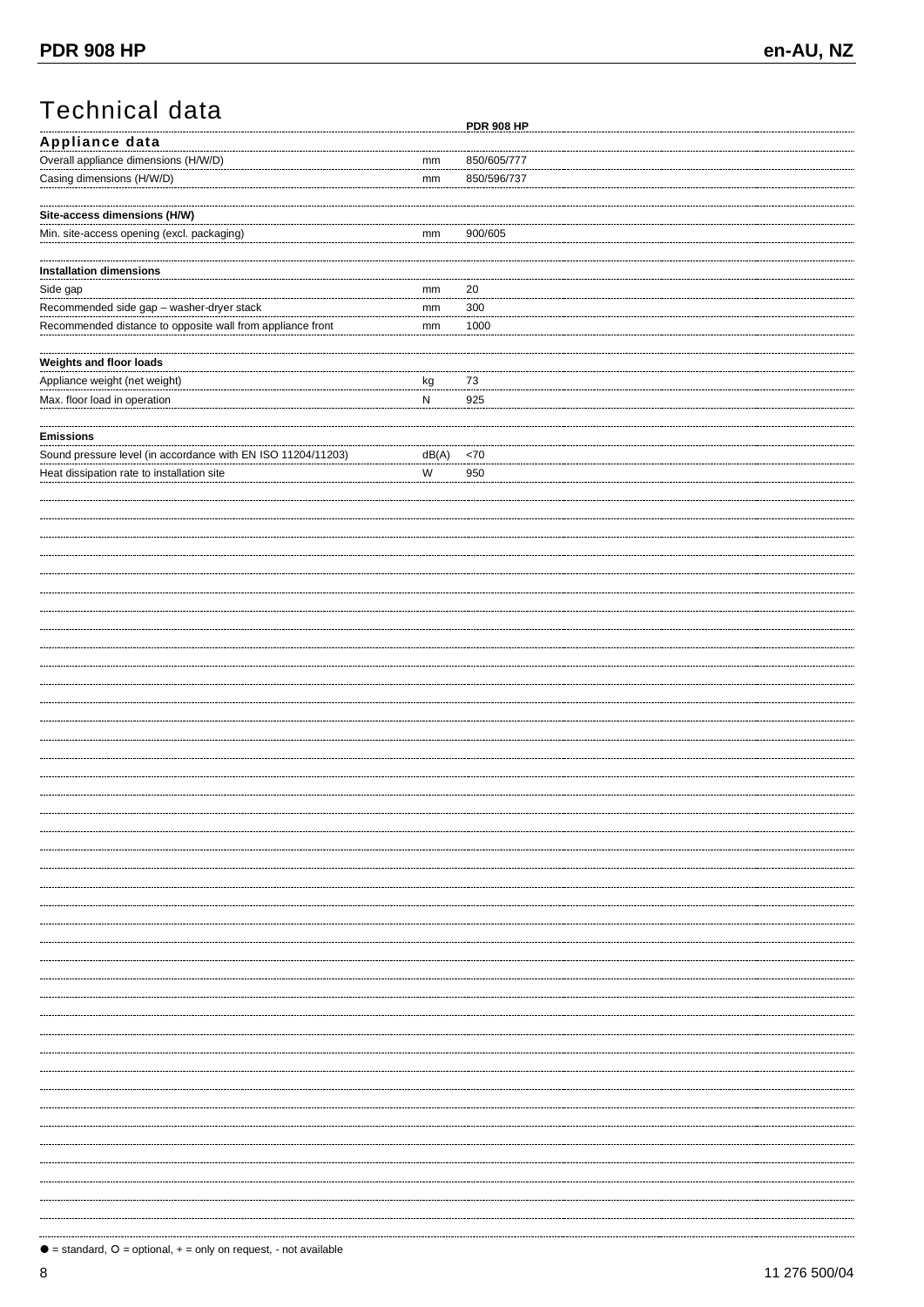# Technical data

|                                                              |           | <b>PDR 908 HP</b> |
|--------------------------------------------------------------|-----------|-------------------|
| Appliance data                                               |           |                   |
| Overall appliance dimensions (H/W/D)                         | mm        | 850/605/777       |
| Casing dimensions (H/W/D)                                    |           | 850/596/737       |
|                                                              | mm        |                   |
|                                                              |           |                   |
| Site-access dimensions (H/W)                                 |           |                   |
| Min. site-access opening (excl. packaging)                   | mm        | 900/605           |
|                                                              |           |                   |
|                                                              |           |                   |
| <b>Installation dimensions</b>                               |           |                   |
| Side gap                                                     | mm        | 20                |
| Recommended side gap - washer-dryer stack                    | mm        | 300               |
|                                                              |           |                   |
| Recommended distance to opposite wall from appliance front   | mm        | 1000              |
|                                                              |           |                   |
| Weights and floor loads                                      |           |                   |
| Appliance weight (net weight)                                | kg        | 73                |
|                                                              | ${\sf N}$ | 925               |
| Max. floor load in operation                                 |           |                   |
|                                                              |           |                   |
| <b>Emissions</b>                                             |           |                   |
| Sound pressure level (in accordance with EN ISO 11204/11203) | dB(A)     | ${<}70$           |
|                                                              | W         |                   |
| Heat dissipation rate to installation site                   |           | 950               |
|                                                              |           |                   |
|                                                              |           |                   |
|                                                              |           |                   |
|                                                              |           |                   |
|                                                              |           |                   |
|                                                              |           |                   |
|                                                              |           |                   |
|                                                              |           |                   |
|                                                              |           |                   |
|                                                              |           |                   |
|                                                              |           |                   |
|                                                              |           |                   |
|                                                              |           |                   |
|                                                              |           |                   |
|                                                              |           |                   |
|                                                              |           |                   |
|                                                              |           |                   |
|                                                              |           |                   |
|                                                              |           |                   |
|                                                              |           |                   |
|                                                              |           |                   |
|                                                              |           |                   |
|                                                              |           |                   |
|                                                              |           |                   |
|                                                              |           |                   |
|                                                              |           |                   |
|                                                              |           |                   |
|                                                              |           |                   |
|                                                              |           |                   |
|                                                              |           |                   |
|                                                              |           |                   |
|                                                              |           |                   |
|                                                              |           |                   |
|                                                              |           |                   |
|                                                              |           |                   |
|                                                              |           |                   |
|                                                              |           |                   |
|                                                              |           |                   |
|                                                              |           |                   |
|                                                              |           |                   |
|                                                              |           |                   |
|                                                              |           |                   |
|                                                              |           |                   |
|                                                              |           |                   |
|                                                              |           |                   |
|                                                              |           |                   |
|                                                              |           |                   |
|                                                              |           |                   |
|                                                              |           |                   |
|                                                              |           |                   |
|                                                              |           |                   |
|                                                              |           |                   |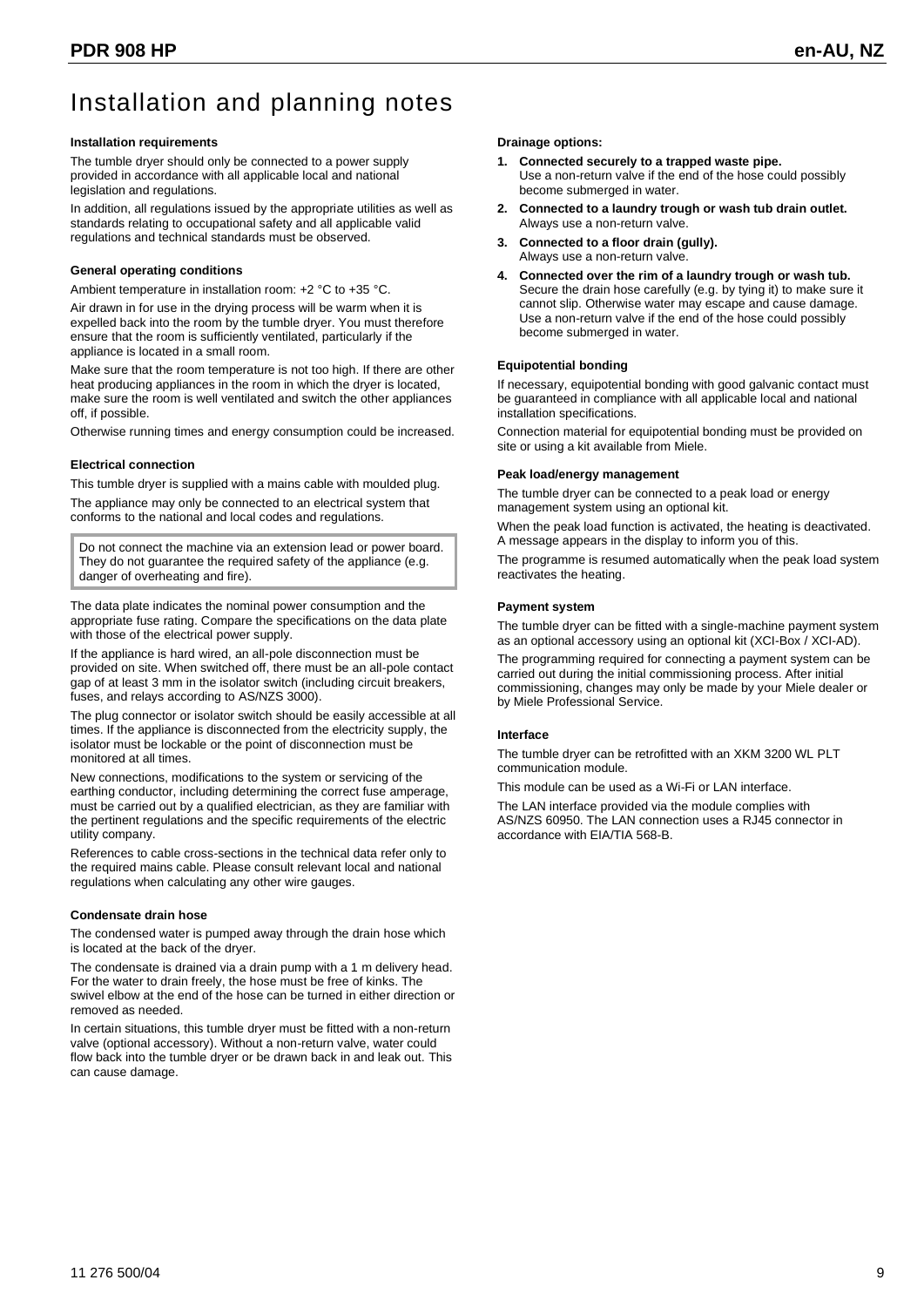# Installation and planning notes

#### **Installation requirements**

The tumble dryer should only be connected to a power supply provided in accordance with all applicable local and national legislation and regulations.

In addition, all regulations issued by the appropriate utilities as well as standards relating to occupational safety and all applicable valid regulations and technical standards must be observed.

#### **General operating conditions**

Ambient temperature in installation room: +2 °C to +35 °C.

Air drawn in for use in the drying process will be warm when it is expelled back into the room by the tumble dryer. You must therefore ensure that the room is sufficiently ventilated, particularly if the appliance is located in a small room.

Make sure that the room temperature is not too high. If there are other heat producing appliances in the room in which the dryer is located, make sure the room is well ventilated and switch the other appliances off, if possible.

Otherwise running times and energy consumption could be increased.

#### **Electrical connection**

This tumble dryer is supplied with a mains cable with moulded plug.

The appliance may only be connected to an electrical system that conforms to the national and local codes and regulations.

Do not connect the machine via an extension lead or power board. They do not guarantee the required safety of the appliance (e.g. danger of overheating and fire).

The data plate indicates the nominal power consumption and the appropriate fuse rating. Compare the specifications on the data plate with those of the electrical power supply.

If the appliance is hard wired, an all-pole disconnection must be provided on site. When switched off, there must be an all-pole contact gap of at least 3 mm in the isolator switch (including circuit breakers, fuses, and relays according to AS/NZS 3000).

The plug connector or isolator switch should be easily accessible at all times. If the appliance is disconnected from the electricity supply, the isolator must be lockable or the point of disconnection must be monitored at all times.

New connections, modifications to the system or servicing of the earthing conductor, including determining the correct fuse amperage, must be carried out by a qualified electrician, as they are familiar with the pertinent regulations and the specific requirements of the electric utility company.

References to cable cross-sections in the technical data refer only to the required mains cable. Please consult relevant local and national regulations when calculating any other wire gauges.

#### **Condensate drain hose**

The condensed water is pumped away through the drain hose which is located at the back of the dryer.

The condensate is drained via a drain pump with a 1 m delivery head. For the water to drain freely, the hose must be free of kinks. The swivel elbow at the end of the hose can be turned in either direction or removed as needed.

In certain situations, this tumble dryer must be fitted with a non-return valve (optional accessory). Without a non-return valve, water could flow back into the tumble dryer or be drawn back in and leak out. This can cause damage.

#### **Drainage options:**

- **1. Connected securely to a trapped waste pipe.** Use a non-return valve if the end of the hose could possibly become submerged in water.
- **2. Connected to a laundry trough or wash tub drain outlet.** Always use a non-return valve.
- **3. Connected to a floor drain (gully).** Always use a non-return valve.
- **4. Connected over the rim of a laundry trough or wash tub.** Secure the drain hose carefully (e.g. by tying it) to make sure it cannot slip. Otherwise water may escape and cause damage. Use a non-return valve if the end of the hose could possibly become submerged in water.

#### **Equipotential bonding**

If necessary, equipotential bonding with good galvanic contact must be guaranteed in compliance with all applicable local and national installation specifications.

Connection material for equipotential bonding must be provided on site or using a kit available from Miele.

#### **Peak load/energy management**

The tumble dryer can be connected to a peak load or energy management system using an optional kit.

When the peak load function is activated, the heating is deactivated. A message appears in the display to inform you of this.

The programme is resumed automatically when the peak load system reactivates the heating.

#### **Payment system**

The tumble dryer can be fitted with a single-machine payment system as an optional accessory using an optional kit (XCI-Box / XCI-AD).

The programming required for connecting a payment system can be carried out during the initial commissioning process. After initial commissioning, changes may only be made by your Miele dealer or by Miele Professional Service.

#### **Interface**

The tumble dryer can be retrofitted with an XKM 3200 WL PLT communication module.

This module can be used as a Wi-Fi or LAN interface.

The LAN interface provided via the module complies with AS/NZS 60950. The LAN connection uses a RJ45 connector in accordance with EIA/TIA 568-B.